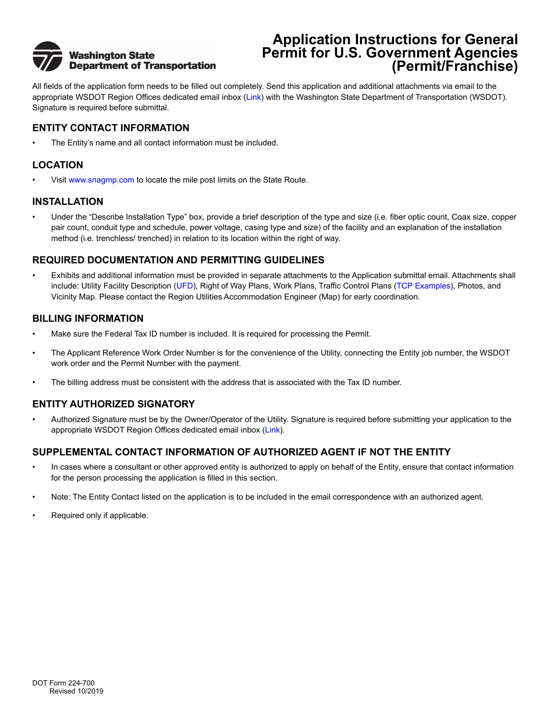

## **Application Instructions for General Permit for U.S. Government Agencies (Permit/Franchise)**

All fields of the application form needs to be filled out completely. Send this application and additional attachments via email to the appropriate WSDOT Region Offices dedicated email inbox ([Link](http://www.wsdot.wa.gov/Utilities/PermitFranchiseAppProcess.htm)) with the Washington State Department of Transportation (WSDOT). Signature is required before submittal.

### **ENTITY CONTACT INFORMATION**

• The Entity's name and all contact information must be included.

## **LOCATION**

Visit [www.snagmp.com](http://www.snagmp.com) to locate the mile post limits on the State Route.

#### **INSTALLATION**

• Under the "Describe Installation Type" box, provide a brief description of the type and size (i.e. fiber optic count, Coax size, copper pair count, conduit type and schedule, power voltage, casing type and size) of the facility and an explanation of the installation method (i.e. trenchless/ trenched) in relation to its location within the right of way.

### **REQUIRED DOCUMENTATION AND PERMITTING GUIDELINES**

• Exhibits and additional information must be provided in separate attachments to the Application submittal email. Attachments shall include: Utility Facility Description [\(UFD\)](http://www.wsdot.wa.gov/publications/fulltext/forms/224-697.xlsx), Right of Way Plans, Work Plans, Traffic Control Plans ([TCP Examples\)](https://www.wsdot.wa.gov/Design/Standards/PlanSheet/Work-Zone-Typical-TCPs.htm), Photos, and Vicinity Map. Please contact the Region Utilities Accommodation Engineer (Map) for early coordination.

#### **BILLING INFORMATION**

- Make sure the Federal Tax ID number is included. It is required for processing the Permit.
- The Applicant Reference Work Order Number is for the convenience of the Utility, connecting the Entity job number, the WSDOT work order and the Permit Number with the payment.
- The billing address must be consistent with the address that is associated with the Tax ID number.

## **ENTITY AUTHORIZED SIGNATORY**

• Authorized Signature must be by the Owner/Operator of the Utility. Signature is required before submitting your application to the appropriate WSDOT Region Offices dedicated email inbox ([Link](http://www.wsdot.wa.gov/Utilities/PermitFranchiseAppProcess.htm)).

## **SUPPLEMENTAL CONTACT INFORMATION OF AUTHORIZED AGENT IF NOT THE ENTITY**

- In cases where a consultant or other approved entity is authorized to apply on behalf of the Entity, ensure that contact information for the person processing the application is filled in this section.
- Note: The Entity Contact listed on the application is to be included in the email correspondence with an authorized agent.
- Required only if applicable.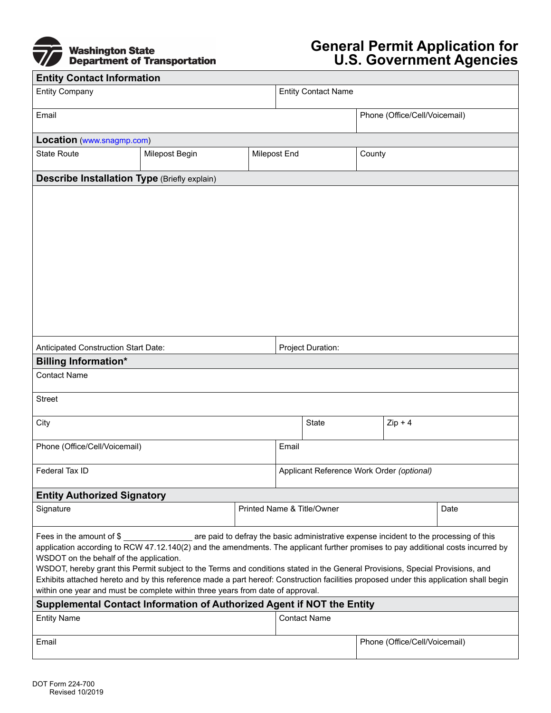

# **General Permit Application for U.S. Government Agencies**

| <b>Entity Contact Information</b>                                                                                                                        |                                                                                                                                        |  |                                           |                            |                               |                               |      |
|----------------------------------------------------------------------------------------------------------------------------------------------------------|----------------------------------------------------------------------------------------------------------------------------------------|--|-------------------------------------------|----------------------------|-------------------------------|-------------------------------|------|
| <b>Entity Company</b>                                                                                                                                    |                                                                                                                                        |  | <b>Entity Contact Name</b>                |                            |                               |                               |      |
| Email                                                                                                                                                    |                                                                                                                                        |  |                                           |                            |                               | Phone (Office/Cell/Voicemail) |      |
| Location (www.snagmp.com)                                                                                                                                |                                                                                                                                        |  |                                           |                            |                               |                               |      |
| <b>State Route</b>                                                                                                                                       | Milepost Begin                                                                                                                         |  | <b>Milepost End</b>                       |                            | County                        |                               |      |
| <b>Describe Installation Type (Briefly explain)</b>                                                                                                      |                                                                                                                                        |  |                                           |                            |                               |                               |      |
|                                                                                                                                                          |                                                                                                                                        |  |                                           |                            |                               |                               |      |
|                                                                                                                                                          |                                                                                                                                        |  |                                           |                            |                               |                               |      |
|                                                                                                                                                          |                                                                                                                                        |  |                                           |                            |                               |                               |      |
|                                                                                                                                                          |                                                                                                                                        |  |                                           |                            |                               |                               |      |
|                                                                                                                                                          |                                                                                                                                        |  |                                           |                            |                               |                               |      |
|                                                                                                                                                          |                                                                                                                                        |  |                                           |                            |                               |                               |      |
|                                                                                                                                                          |                                                                                                                                        |  |                                           |                            |                               |                               |      |
|                                                                                                                                                          |                                                                                                                                        |  |                                           |                            |                               |                               |      |
| Anticipated Construction Start Date:                                                                                                                     |                                                                                                                                        |  | Project Duration:                         |                            |                               |                               |      |
| <b>Billing Information*</b>                                                                                                                              |                                                                                                                                        |  |                                           |                            |                               |                               |      |
| <b>Contact Name</b>                                                                                                                                      |                                                                                                                                        |  |                                           |                            |                               |                               |      |
| <b>Street</b>                                                                                                                                            |                                                                                                                                        |  |                                           |                            |                               |                               |      |
| City                                                                                                                                                     |                                                                                                                                        |  | State<br>$Zip + 4$                        |                            |                               |                               |      |
| Phone (Office/Cell/Voicemail)                                                                                                                            |                                                                                                                                        |  | Email                                     |                            |                               |                               |      |
| Federal Tax ID                                                                                                                                           |                                                                                                                                        |  | Applicant Reference Work Order (optional) |                            |                               |                               |      |
| <b>Entity Authorized Signatory</b>                                                                                                                       |                                                                                                                                        |  |                                           |                            |                               |                               |      |
| Signature                                                                                                                                                |                                                                                                                                        |  |                                           | Printed Name & Title/Owner |                               |                               | Date |
| Fees in the amount of \$                                                                                                                                 |                                                                                                                                        |  |                                           |                            |                               |                               |      |
| WSDOT on the behalf of the application.                                                                                                                  | application according to RCW 47.12.140(2) and the amendments. The applicant further promises to pay additional costs incurred by       |  |                                           |                            |                               |                               |      |
|                                                                                                                                                          | WSDOT, hereby grant this Permit subject to the Terms and conditions stated in the General Provisions, Special Provisions, and          |  |                                           |                            |                               |                               |      |
|                                                                                                                                                          | Exhibits attached hereto and by this reference made a part hereof: Construction facilities proposed under this application shall begin |  |                                           |                            |                               |                               |      |
| within one year and must be complete within three years from date of approval.<br>Supplemental Contact Information of Authorized Agent if NOT the Entity |                                                                                                                                        |  |                                           |                            |                               |                               |      |
| <b>Entity Name</b>                                                                                                                                       |                                                                                                                                        |  |                                           | <b>Contact Name</b>        |                               |                               |      |
| Email                                                                                                                                                    |                                                                                                                                        |  |                                           |                            | Phone (Office/Cell/Voicemail) |                               |      |